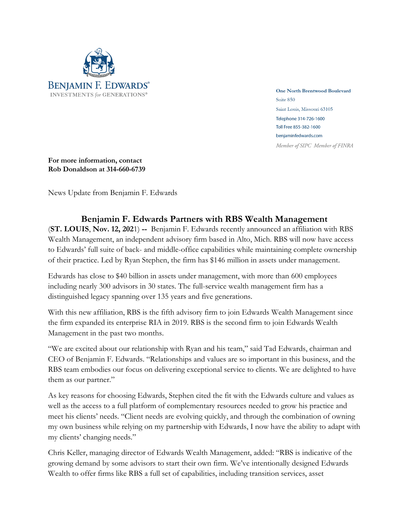

**One North Brentwood Boulevard** Suite 850 Saint Louis, Missouri 63105 Telephone 314-726-1600 Toll Free 855-382-1600 benjaminfedwards.com Member of SIPC Member of FINRA

**For more information, contact Rob Donaldson at 314-660-6739**

News Update from Benjamin F. Edwards

## **Benjamin F. Edwards Partners with RBS Wealth Management**

(**ST. LOUIS**, **Nov. 12, 202**1) **--** Benjamin F. Edwards recently announced an affiliation with RBS Wealth Management, an independent advisory firm based in Alto, Mich. RBS will now have access to Edwards' full suite of back- and middle-office capabilities while maintaining complete ownership of their practice. Led by Ryan Stephen, the firm has \$146 million in assets under management.

Edwards has close to \$40 billion in assets under management, with more than 600 employees including nearly 300 advisors in 30 states. The full-service wealth management firm has a distinguished legacy spanning over 135 years and five generations.

With this new affiliation, RBS is the fifth advisory firm to join Edwards Wealth Management since the firm expanded its enterprise RIA in 2019. RBS is the second firm to join Edwards Wealth Management in the past two months.

"We are excited about our relationship with Ryan and his team," said Tad Edwards, chairman and CEO of Benjamin F. Edwards. "Relationships and values are so important in this business, and the RBS team embodies our focus on delivering exceptional service to clients. We are delighted to have them as our partner."

As key reasons for choosing Edwards, Stephen cited the fit with the Edwards culture and values as well as the access to a full platform of complementary resources needed to grow his practice and meet his clients' needs. "Client needs are evolving quickly, and through the combination of owning my own business while relying on my partnership with Edwards, I now have the ability to adapt with my clients' changing needs."

Chris Keller, managing director of Edwards Wealth Management, added: "RBS is indicative of the growing demand by some advisors to start their own firm. We've intentionally designed Edwards Wealth to offer firms like RBS a full set of capabilities, including transition services, asset